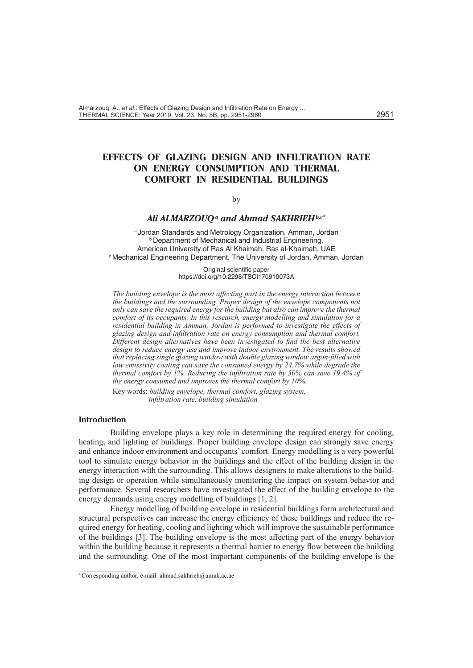# **EFFECTS OF GLAZING DESIGN AND INFILTRATION RATE ON ENERGY CONSUMPTION AND THERMAL COMFORT IN RESIDENTIAL BUILDINGS**

by

### *Ali ALMARZOUQa and Ahmad SAKHRIEHb,c\**

a Jordan Standards and Metrology Organization, Amman, Jordan **b Department of Mechanical and Industrial Engineering,** American University of Ras Al Khaimah, Ras al-Khaimah, UAE c Mechanical Engineering Department, The University of Jordan, Amman, Jordan

> Original scientific paper https://doi.org/10.2298/TSCI170910073A

*The building envelope is the most affecting part in the energy interaction between the buildings and the surrounding. Proper design of the envelope components not only can save the required energy for the building but also can improve the thermal comfort of its occupants. In this research, energy modelling and simulation for a residential building in Amman, Jordan is performed to investigate the effects of glazing design and infiltration rate on energy consumption and thermal comfort. Different design alternatives have been investigated to find the best alternative design to reduce energy use and improve indoor environment. The results showed that replacing single glazing window with double glazing window argon-filled with low emissivity coating can save the consumed energy by 24.7% while degrade the thermal comfort by 1%. Reducing the infiltration rate by 50% can save 19.4% of the energy consumed and improves the thermal comfort by 10%.* 

Key words: *building envelope, thermal comfort, glazing system, infiltration rate, building simulation*

### **Introduction**

Building envelope plays a key role in determining the required energy for cooling, heating, and lighting of buildings. Proper building envelope design can strongly save energy and enhance indoor environment and occupants' comfort. Energy modelling is a very powerful tool to simulate energy behavior in the buildings and the effect of the building design in the energy interaction with the surrounding. This allows designers to make alterations to the building design or operation while simultaneously monitoring the impact on system behavior and performance. Several researchers have investigated the effect of the building envelope to the energy demands using energy modelling of buildings [1, 2].

Energy modelling of building envelope in residential buildings form architectural and structural perspectives can increase the energy efficiency of these buildings and reduce the required energy for heating, cooling and lighting which will improve the sustainable performance of the buildings [3]. The building envelope is the most affecting part of the energy behavior within the building because it represents a thermal barrier to energy flow between the building and the surrounding. One of the most important components of the building envelope is the

<sup>\*</sup> Corresponding author, e-mail: ahmad.sakhrieh@aurak.ac.ae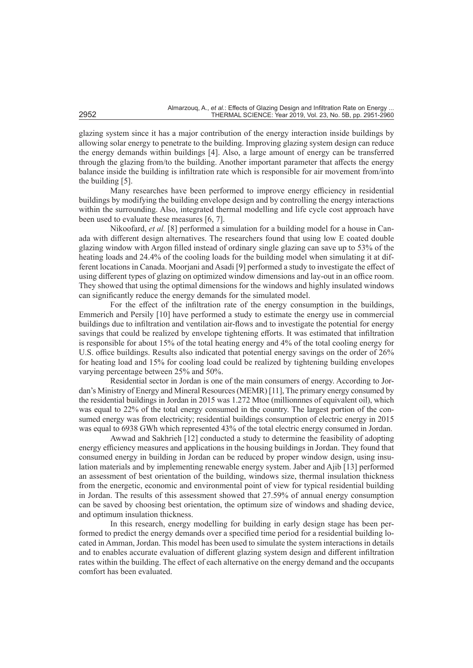glazing system since it has a major contribution of the energy interaction inside buildings by allowing solar energy to penetrate to the building. Improving glazing system design can reduce the energy demands within buildings [4]. Also, a large amount of energy can be transferred through the glazing from/to the building. Another important parameter that affects the energy balance inside the building is infiltration rate which is responsible for air movement from/into the building [5].

Many researches have been performed to improve energy efficiency in residential buildings by modifying the building envelope design and by controlling the energy interactions within the surrounding. Also, integrated thermal modelling and life cycle cost approach have been used to evaluate these measures [6, 7].

Nikoofard, *et al.* [8] performed a simulation for a building model for a house in Canada with different design alternatives. The researchers found that using low E coated double glazing window with Argon filled instead of ordinary single glazing can save up to 53% of the heating loads and 24.4% of the cooling loads for the building model when simulating it at different locations in Canada. Moorjani and Asadi [9] performed a study to investigate the effect of using different types of glazing on optimized window dimensions and lay-out in an office room. They showed that using the optimal dimensions for the windows and highly insulated windows can significantly reduce the energy demands for the simulated model.

For the effect of the infiltration rate of the energy consumption in the buildings, Emmerich and Persily [10] have performed a study to estimate the energy use in commercial buildings due to infiltration and ventilation air-flows and to investigate the potential for energy savings that could be realized by envelope tightening efforts. It was estimated that infiltration is responsible for about 15% of the total heating energy and 4% of the total cooling energy for U.S. office buildings. Results also indicated that potential energy savings on the order of 26% for heating load and 15% for cooling load could be realized by tightening building envelopes varying percentage between 25% and 50%.

Residential sector in Jordan is one of the main consumers of energy. According to Jordan's Ministry of Energy and Mineral Resources (MEMR) [11], The primary energy consumed by the residential buildings in Jordan in 2015 was 1.272 Mtoe (millionnnes of equivalent oil), which was equal to 22% of the total energy consumed in the country. The largest portion of the consumed energy was from electricity; residential buildings consumption of electric energy in 2015 was equal to 6938 GWh which represented 43% of the total electric energy consumed in Jordan.

Awwad and Sakhrieh [12] conducted a study to determine the feasibility of adopting energy efficiency measures and applications in the housing buildings in Jordan. They found that consumed energy in building in Jordan can be reduced by proper window design, using insulation materials and by implementing renewable energy system. Jaber and Ajib [13] performed an assessment of best orientation of the building, windows size, thermal insulation thickness from the energetic, economic and environmental point of view for typical residential building in Jordan. The results of this assessment showed that 27.59% of annual energy consumption can be saved by choosing best orientation, the optimum size of windows and shading device, and optimum insulation thickness.

In this research, energy modelling for building in early design stage has been performed to predict the energy demands over a specified time period for a residential building located in Amman, Jordan. This model has been used to simulate the system interactions in details and to enables accurate evaluation of different glazing system design and different infiltration rates within the building. The effect of each alternative on the energy demand and the occupants comfort has been evaluated.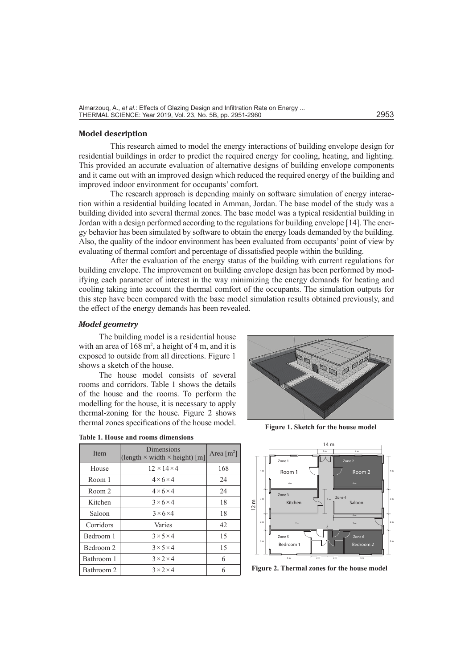### **Model description**

This research aimed to model the energy interactions of building envelope design for residential buildings in order to predict the required energy for cooling, heating, and lighting. This provided an accurate evaluation of alternative designs of building envelope components and it came out with an improved design which reduced the required energy of the building and improved indoor environment for occupants' comfort.

The research approach is depending mainly on software simulation of energy interaction within a residential building located in Amman, Jordan. The base model of the study was a building divided into several thermal zones. The base model was a typical residential building in Jordan with a design performed according to the regulations for building envelope [14]. The energy behavior has been simulated by software to obtain the energy loads demanded by the building. Also, the quality of the indoor environment has been evaluated from occupants' point of view by evaluating of thermal comfort and percentage of dissatisfied people within the building.

After the evaluation of the energy status of the building with current regulations for building envelope. The improvement on building envelope design has been performed by modifying each parameter of interest in the way minimizing the energy demands for heating and cooling taking into account the thermal comfort of the occupants. The simulation outputs for this step have been compared with the base model simulation results obtained previously, and the effect of the energy demands has been revealed.

# *Model geometry*

The building model is a residential house with an area of  $168 \text{ m}^2$ , a height of 4 m, and it is exposed to outside from all directions. Figure 1 shows a sketch of the house.

The house model consists of several rooms and corridors. Table 1 shows the details of the house and the rooms. To perform the modelling for the house, it is necessary to apply thermal-zoning for the house. Figure 2 shows thermal zones specifications of the house model.

|  |  |  |  |  | <b>Table 1. House and rooms dimensions</b> |  |
|--|--|--|--|--|--------------------------------------------|--|
|--|--|--|--|--|--------------------------------------------|--|

| Item       | Dimensions<br>(length $\times$ width $\times$ height) [m] | Area $\lceil m^2 \rceil$ |
|------------|-----------------------------------------------------------|--------------------------|
| House      | $12 \times 14 \times 4$                                   | 168                      |
| Room 1     | $4 \times 6 \times 4$                                     | 24                       |
| Room 2     | $4 \times 6 \times 4$                                     | 24                       |
| Kitchen    | $3 \times 6 \times 4$                                     | 18                       |
| Saloon     | $3 \times 6 \times 4$                                     | 18                       |
| Corridors  | Varies                                                    | 42                       |
| Bedroom 1  | $3 \times 5 \times 4$                                     | 15                       |
| Bedroom 2  | $3 \times 5 \times 4$                                     | 15                       |
| Bathroom 1 | $3 \times 2 \times 4$                                     | 6                        |
| Bathroom 2 | $3 \times 2 \times 4$                                     |                          |



**Figure 1. Sketch for the house model**



**Figure 2. Thermal zones for the house model**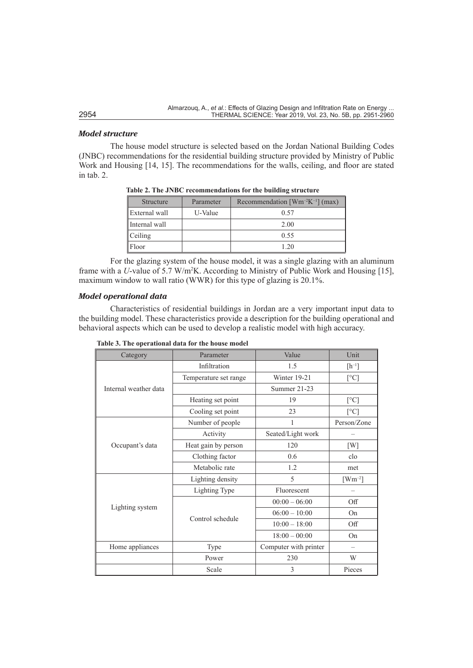# *Model structure*

The house model structure is selected based on the Jordan National Building Codes (JNBC) recommendations for the residential building structure provided by Ministry of Public Work and Housing [14, 15]. The recommendations for the walls, ceiling, and floor are stated in tab. 2.

| <b>Structure</b> | Parameter | Recommendation $[Wm^{-2}K^{-1}]$ (max) |
|------------------|-----------|----------------------------------------|
| External wall    | U-Value   | 0.57                                   |
| Internal wall    |           | 2.00                                   |
| Ceiling          |           | 0.55                                   |
| Floor            |           | 1.20                                   |

**Table 2. The JNBC recommendations for the building structure**

For the glazing system of the house model, it was a single glazing with an aluminum frame with a *U*-value of 5.7 W/m<sup>2</sup>K. According to Ministry of Public Work and Housing [15], maximum window to wall ratio (WWR) for this type of glazing is 20.1%.

# *Model operational data*

Characteristics of residential buildings in Jordan are a very important input data to the building model. These characteristics provide a description for the building operational and behavioral aspects which can be used to develop a realistic model with high accuracy.

| Category              | Parameter             | Value                                                                                                                                                                             | Unit           |
|-----------------------|-----------------------|-----------------------------------------------------------------------------------------------------------------------------------------------------------------------------------|----------------|
|                       | Infiltration          | 1.5                                                                                                                                                                               | $[h^{-1}]$     |
|                       | Temperature set range | Winter 19-21                                                                                                                                                                      | [°C]           |
| Internal weather data |                       | Summer 21-23                                                                                                                                                                      |                |
|                       | Heating set point     | 19                                                                                                                                                                                | [°C]           |
|                       | Cooling set point     | 23<br>1<br>Seated/Light work<br>120<br>0.6<br>1.2<br>5<br>Fluorescent<br>$00:00 - 06:00$<br>$06:00 - 10:00$<br>$10:00 - 18:00$<br>$18:00 - 00:00$<br>Computer with printer<br>230 | $\lceil$ °C]   |
|                       | Number of people      |                                                                                                                                                                                   | Person/Zone    |
|                       | Activity              |                                                                                                                                                                                   |                |
| Occupant's data       | Heat gain by person   |                                                                                                                                                                                   | [W]            |
|                       | Clothing factor       |                                                                                                                                                                                   | clo            |
|                       | Metabolic rate        | 3                                                                                                                                                                                 | met            |
|                       | Lighting density      |                                                                                                                                                                                   | $[Wm^{-2}]$    |
|                       | Lighting Type         |                                                                                                                                                                                   |                |
|                       |                       |                                                                                                                                                                                   | Off            |
| Lighting system       | Control schedule      |                                                                                                                                                                                   | O <sub>n</sub> |
|                       |                       |                                                                                                                                                                                   | Off            |
|                       |                       |                                                                                                                                                                                   | On             |
| Home appliances       | Type                  |                                                                                                                                                                                   |                |
|                       | Power                 |                                                                                                                                                                                   | W              |
|                       | Scale                 |                                                                                                                                                                                   | Pieces         |

|  |  | Table 3. The operational data for the house model |  |  |  |  |  |
|--|--|---------------------------------------------------|--|--|--|--|--|
|--|--|---------------------------------------------------|--|--|--|--|--|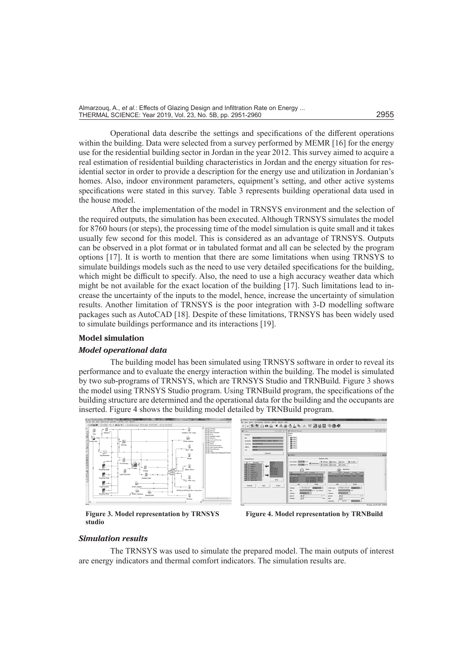Almarzouq, A., *et al.*: Effects of Glazing Design and Infiltration Rate on Energy ... THERMAL SCIENCE: Year 2019, Vol. 23, No. 5B, pp. 2951-2960 2955

Operational data describe the settings and specifications of the different operations within the building. Data were selected from a survey performed by MEMR [16] for the energy use for the residential building sector in Jordan in the year 2012. This survey aimed to acquire a real estimation of residential building characteristics in Jordan and the energy situation for residential sector in order to provide a description for the energy use and utilization in Jordanian's homes. Also, indoor environment parameters, equipment's setting, and other active systems specifications were stated in this survey. Table 3 represents building operational data used in the house model.

After the implementation of the model in TRNSYS environment and the selection of the required outputs, the simulation has been executed. Although TRNSYS simulates the model for 8760 hours (or steps), the processing time of the model simulation is quite small and it takes usually few second for this model. This is considered as an advantage of TRNSYS. Outputs can be observed in a plot format or in tabulated format and all can be selected by the program options [17]. It is worth to mention that there are some limitations when using TRNSYS to simulate buildings models such as the need to use very detailed specifications for the building, which might be difficult to specify. Also, the need to use a high accuracy weather data which might be not available for the exact location of the building [17]. Such limitations lead to increase the uncertainty of the inputs to the model, hence, increase the uncertainty of simulation results. Another limitation of TRNSYS is the poor integration with 3-D modelling software packages such as AutoCAD [18]. Despite of these limitations, TRNSYS has been widely used to simulate buildings performance and its interactions [19].

# **Model simulation**

### *Model operational data*

The building model has been simulated using TRNSYS software in order to reveal its performance and to evaluate the energy interaction within the building. The model is simulated by two sub-programs of TRNSYS, which are TRNSYS Studio and TRNBuild. Figure 3 shows the model using TRNSYS Studio program. Using TRNBuild program, the specifications of the building structure are determined and the operational data for the building and the occupants are inserted. Figure 4 shows the building model detailed by TRNBuild program.



**Figure 3. Model representation by TRNSYS studio**

**Figure 4. Model representation by TRNBuild**

#### *Simulation results*

The TRNSYS was used to simulate the prepared model. The main outputs of interest are energy indicators and thermal comfort indicators. The simulation results are.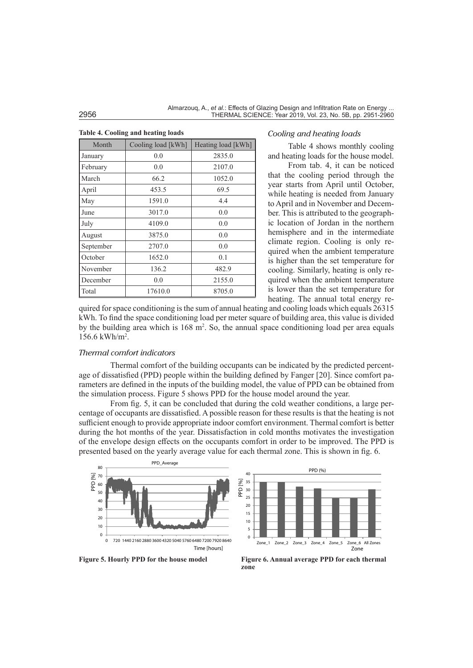|  | <b>Table 4. Cooling and heating loads</b> |  |  |  |
|--|-------------------------------------------|--|--|--|
|--|-------------------------------------------|--|--|--|

| Month     | Cooling load [kWh] | Heating load [kWh] |
|-----------|--------------------|--------------------|
| January   | 0.0                | 2835.0             |
| February  | 0.0                | 2107.0             |
| March     | 66.2               | 1052.0             |
| April     | 453.5              | 69.5               |
| May       | 1591.0             | 4.4                |
| June      | 3017.0             | 0.0                |
| July      | 4109.0             | 0.0                |
| August    | 3875.0             | 0.0                |
| September | 2707.0             | 0.0                |
| October   | 1652.0             | 0.1                |
| November  | 136.2              | 482.9              |
| December  | 0.0                | 2155.0             |
| Total     | 17610.0            | 8705.0             |

### *Cooling and heating loads*

Table 4 shows monthly cooling and heating loads for the house model.

From tab. 4, it can be noticed that the cooling period through the year starts from April until October, while heating is needed from January to April and in November and December. This is attributed to the geographic location of Jordan in the northern hemisphere and in the intermediate climate region. Cooling is only required when the ambient temperature is higher than the set temperature for cooling. Similarly, heating is only required when the ambient temperature is lower than the set temperature for heating. The annual total energy re-

quired for space conditioning is the sum of annual heating and cooling loads which equals 26315 kWh. To find the space conditioning load per meter square of building area, this value is divided by the building area which is  $168 \text{ m}^2$ . So, the annual space conditioning load per area equals 156.6 kWh/m2 .

# *Thermal comfort indicators*

Thermal comfort of the building occupants can be indicated by the predicted percentage of dissatisfied (PPD) people within the building defined by Fanger [20]. Since comfort parameters are defined in the inputs of the building model, the value of PPD can be obtained from the simulation process. Figure 5 shows PPD for the house model around the year.

From fig. 5, it can be concluded that during the cold weather conditions, a large percentage of occupants are dissatisfied. A possible reason for these results is that the heating is not sufficient enough to provide appropriate indoor comfort environment. Thermal comfort is better during the hot months of the year. Dissatisfaction in cold months motivates the investigation of the envelope design effects on the occupants comfort in order to be improved. The PPD is presented based on the yearly average value for each thermal zone. This is shown in fig. 6.



**Figure 5. Hourly PPD for the house model Figure 6. Annual average PPD for each thermal zone**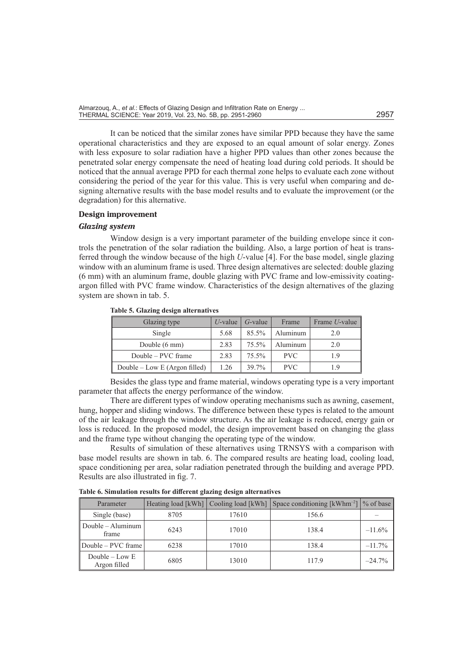It can be noticed that the similar zones have similar PPD because they have the same operational characteristics and they are exposed to an equal amount of solar energy. Zones with less exposure to solar radiation have a higher PPD values than other zones because the penetrated solar energy compensate the need of heating load during cold periods. It should be noticed that the annual average PPD for each thermal zone helps to evaluate each zone without considering the period of the year for this value. This is very useful when comparing and designing alternative results with the base model results and to evaluate the improvement (or the degradation) for this alternative.

# **Design improvement**

#### *Glazing system*

Window design is a very important parameter of the building envelope since it controls the penetration of the solar radiation the building. Also, a large portion of heat is transferred through the window because of the high *U*-value [4]. For the base model, single glazing window with an aluminum frame is used. Three design alternatives are selected: double glazing (6 mm) with an aluminum frame, double glazing with PVC frame and low-emissivity coatingargon filled with PVC frame window. Characteristics of the design alternatives of the glazing system are shown in tab. 5.

| Glazing type                  | $U$ -value | $G$ -value | Frame      | Frame <i>U</i> -value |
|-------------------------------|------------|------------|------------|-----------------------|
| Single                        | 5.68       | 85.5%      | Aluminum   | 2.0                   |
| Double (6 mm)                 | 2.83       | 75.5%      | Aluminum   | 2.0                   |
| Double – PVC frame            | 2.83       | 75.5%      | <b>PVC</b> | 1.9                   |
| Double – Low E (Argon filled) | 1.26       | 39.7%      | <b>PVC</b> | 19                    |

**Table 5. Glazing design alternatives**

Besides the glass type and frame material, windows operating type is a very important parameter that affects the energy performance of the window.

There are different types of window operating mechanisms such as awning, casement, hung, hopper and sliding windows. The difference between these types is related to the amount of the air leakage through the window structure. As the air leakage is reduced, energy gain or loss is reduced. In the proposed model, the design improvement based on changing the glass and the frame type without changing the operating type of the window.

Results of simulation of these alternatives using TRNSYS with a comparison with base model results are shown in tab. 6. The compared results are heating load, cooling load, space conditioning per area, solar radiation penetrated through the building and average PPD. Results are also illustrated in fig. 7.

**Table 6. Simulation results for different glazing design alternatives**

| Parameter                          |      | Heating load [kWh] Cooling load [kWh] | Space conditioning $[kWhm^{-2}]$ \% of base |           |
|------------------------------------|------|---------------------------------------|---------------------------------------------|-----------|
| Single (base)                      | 8705 | 17610                                 | 156.6                                       |           |
| Double $-$ Aluminum<br>frame       | 6243 | 17010                                 | 138.4                                       | $-11.6\%$ |
| Double – PVC frame                 | 6238 | 17010                                 | 138.4                                       | $-11.7\%$ |
| Double $-$ Low $E$<br>Argon filled | 6805 | 13010                                 | 117.9                                       | $-24.7\%$ |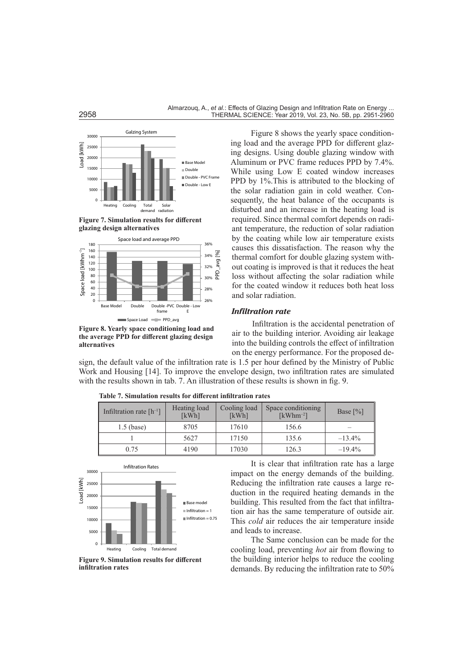





**Figure 8. Yearly space conditioning load and the average PPD for different glazing design alternatives**

Figure 8 shows the yearly space conditioning load and the average PPD for different glazing designs. Using double glazing window with Aluminum or PVC frame reduces PPD by 7.4%. While using Low E coated window increases PPD by 1%. This is attributed to the blocking of the solar radiation gain in cold weather. Consequently, the heat balance of the occupants is disturbed and an increase in the heating load is required. Since thermal comfort depends on radiant temperature, the reduction of solar radiation by the coating while low air temperature exists causes this dissatisfaction. The reason why the thermal comfort for double glazing system without coating is improved is that it reduces the heat loss without affecting the solar radiation while for the coated window it reduces both heat loss and solar radiation.

#### *Infiltration rate*

Infiltration is the accidental penetration of air to the building interior. Avoiding air leakage into the building controls the effect of infiltration on the energy performance. For the proposed de-

sign, the default value of the infiltration rate is 1.5 per hour defined by the Ministry of Public Work and Housing [14]. To improve the envelope design, two infiltration rates are simulated with the results shown in tab. 7. An illustration of these results is shown in fig. 9.

| Infiltration rate $[h^{-1}]$ | Heating load<br>[kWh] | Cooling load<br>[kWh] | Space conditioning<br>$\lceil kWhm^{-2} \rceil$ | Base $\lceil\% \rceil$ |
|------------------------------|-----------------------|-----------------------|-------------------------------------------------|------------------------|
| $1.5$ (base)                 | 8705                  | 17610                 | 156.6                                           |                        |
|                              | 5627                  | 17150                 | 135.6                                           | $-13.4%$               |
| 0.75                         | 4190                  | 17030                 | 126.3                                           | $-19.4\%$              |

**Table 7. Simulation results for different infiltration rates**



**Figure 9. Simulation results for different infiltration rates**

It is clear that infiltration rate has a large impact on the energy demands of the building. Reducing the infiltration rate causes a large reduction in the required heating demands in the building. This resulted from the fact that infiltration air has the same temperature of outside air. This *cold* air reduces the air temperature inside and leads to increase.

The Same conclusion can be made for the cooling load, preventing *hot* air from flowing to the building interior helps to reduce the cooling demands. By reducing the infiltration rate to 50%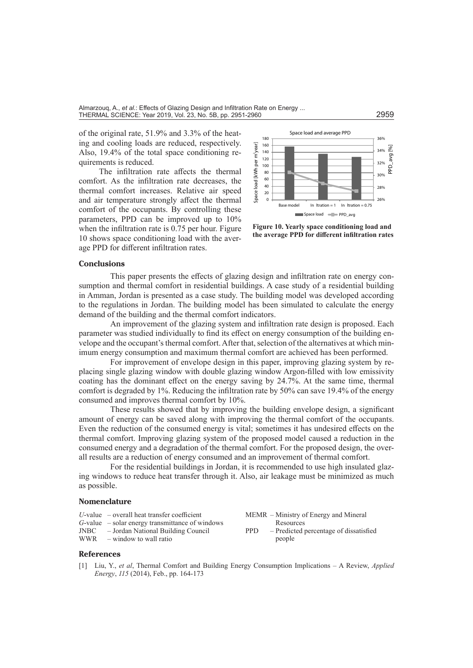of the original rate, 51.9% and 3.3% of the heating and cooling loads are reduced, respectively. Also, 19.4% of the total space conditioning requirements is reduced.

The infiltration rate affects the thermal comfort. As the infiltration rate decreases, the thermal comfort increases. Relative air speed and air temperature strongly affect the thermal comfort of the occupants. By controlling these parameters, PPD can be improved up to 10% when the infiltration rate is 0.75 per hour. Figure 10 shows space conditioning load with the average PPD for different infiltration rates.



**Figure 10. Yearly space conditioning load and the average PPD for different infiltration rates**

### **Conclusions**

This paper presents the effects of glazing design and infiltration rate on energy consumption and thermal comfort in residential buildings. A case study of a residential building in Amman, Jordan is presented as a case study. The building model was developed according to the regulations in Jordan. The building model has been simulated to calculate the energy demand of the building and the thermal comfort indicators.

An improvement of the glazing system and infiltration rate design is proposed. Each parameter was studied individually to find its effect on energy consumption of the building envelope and the occupant's thermal comfort. After that, selection of the alternatives at which minimum energy consumption and maximum thermal comfort are achieved has been performed.

For improvement of envelope design in this paper, improving glazing system by replacing single glazing window with double glazing window Argon-filled with low emissivity coating has the dominant effect on the energy saving by 24.7%. At the same time, thermal comfort is degraded by 1%. Reducing the infiltration rate by 50% can save 19.4% of the energy consumed and improves thermal comfort by 10%.

These results showed that by improving the building envelope design, a significant amount of energy can be saved along with improving the thermal comfort of the occupants. Even the reduction of the consumed energy is vital; sometimes it has undesired effects on the thermal comfort. Improving glazing system of the proposed model caused a reduction in the consumed energy and a degradation of the thermal comfort. For the proposed design, the overall results are a reduction of energy consumed and an improvement of thermal comfort.

For the residential buildings in Jordan, it is recommended to use high insulated glazing windows to reduce heat transfer through it. Also, air leakage must be minimized as much as possible.

# **Nomenclature**

- *U*-value overall heat transfer coefficient
- *G*-value solar energy transmittance of windows

JNBC – Jordan National Building Council

– window to wall ratio

MEMR – Ministry of Energy and Mineral Resources PPD – Predicted percentage of dissatisfied people

### **References**

[1] Liu, Y., *et al*, Thermal Comfort and Building Energy Consumption Implications – A Review, *Applied Energy*, *115* (2014), Feb., pp. 164-173